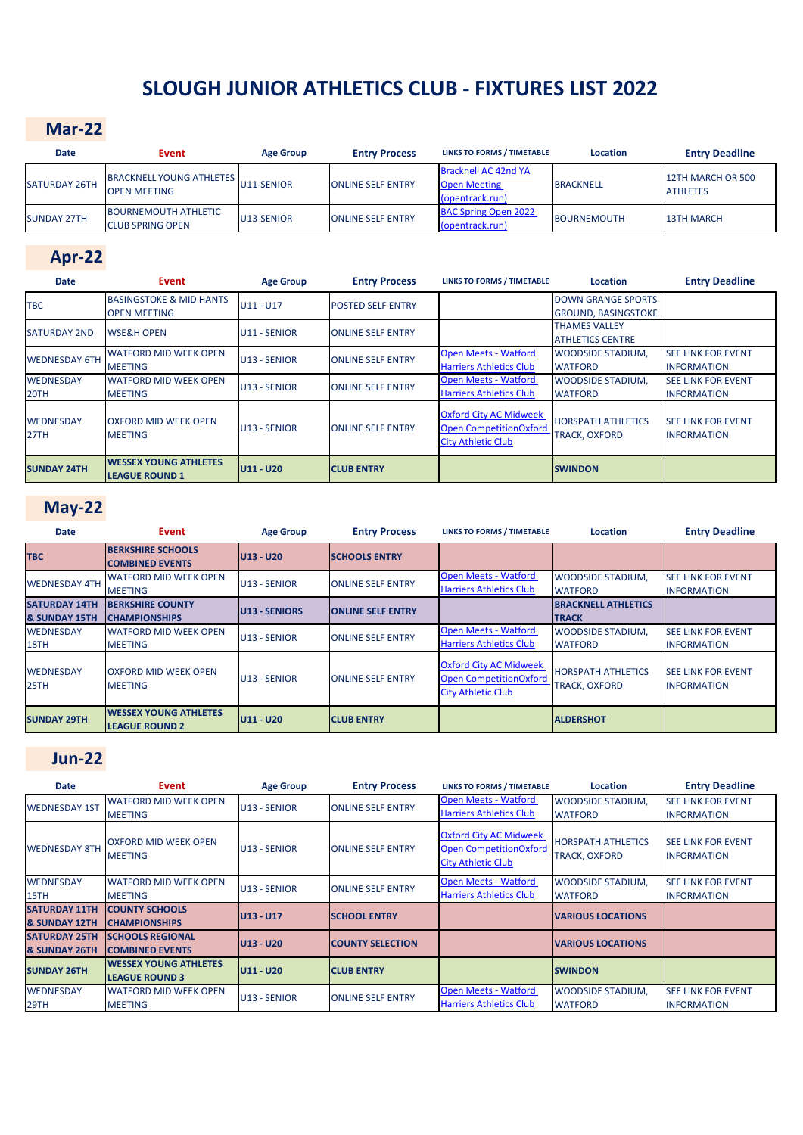# **SLOUGH JUNIOR ATHLETICS CLUB - FIXTURES LIST 2022**

#### **Mar-22**

| <b>Date</b>          | Event                                                  | <b>Age Group</b> | <b>Entry Process</b>     | <b>LINKS TO FORMS / TIMETABLE</b>                              | Location           | <b>Entry Deadline</b>                |
|----------------------|--------------------------------------------------------|------------------|--------------------------|----------------------------------------------------------------|--------------------|--------------------------------------|
| <b>SATURDAY 26TH</b> | <b>BRACKNELL YOUNG ATHLETES</b><br><b>OPEN MEETING</b> | U11-SENIOR       | <b>ONLINE SELF ENTRY</b> | Bracknell AC 42nd YA<br><b>Open Meeting</b><br>(opentrack.run) | <b>BRACKNELL</b>   | 12TH MARCH OR 500<br><b>ATHLETES</b> |
| <b>SUNDAY 27TH</b>   | <b>BOURNEMOUTH ATHLETIC</b><br><b>CLUB SPRING OPEN</b> | U13-SENIOR       | <b>ONLINE SELF ENTRY</b> | <b>BAC Spring Open 2022</b><br>(opentrack.run)                 | <b>BOURNEMOUTH</b> | <b>13TH MARCH</b>                    |

### **Apr-22**

| <b>Date</b>              | Event                                                     | <b>Age Group</b> | <b>Entry Process</b>     | <b>LINKS TO FORMS / TIMETABLE</b>                                                           | <b>Location</b>                                         | <b>Entry Deadline</b>                           |
|--------------------------|-----------------------------------------------------------|------------------|--------------------------|---------------------------------------------------------------------------------------------|---------------------------------------------------------|-------------------------------------------------|
| <b>TBC</b>               | <b>BASINGSTOKE &amp; MID HANTS</b><br><b>OPEN MEETING</b> | $U11 - U17$      | <b>POSTED SELF ENTRY</b> |                                                                                             | <b>DOWN GRANGE SPORTS</b><br><b>GROUND, BASINGSTOKE</b> |                                                 |
| <b>SATURDAY 2ND</b>      | <b>WSE&amp;H OPEN</b>                                     | U11 - SENIOR     | <b>ONLINE SELF ENTRY</b> |                                                                                             | THAMES VALLEY<br><b>ATHLETICS CENTRE</b>                |                                                 |
| <b>WEDNESDAY 6TH</b>     | <b>WATFORD MID WEEK OPEN</b><br><b>MEETING</b>            | U13 - SENIOR     | <b>ONLINE SELF ENTRY</b> | <b>Open Meets - Watford</b><br><b>Harriers Athletics Club</b>                               | <b>WOODSIDE STADIUM,</b><br><b>WATFORD</b>              | <b>SEE LINK FOR EVENT</b><br><b>INFORMATION</b> |
| <b>WEDNESDAY</b><br>20TH | <b>WATFORD MID WEEK OPEN</b><br><b>MEETING</b>            | U13 - SENIOR     | <b>ONLINE SELF ENTRY</b> | <b>Open Meets - Watford</b><br><b>Harriers Athletics Club</b>                               | <b>WOODSIDE STADIUM,</b><br><b>WATFORD</b>              | <b>SEE LINK FOR EVENT</b><br><b>INFORMATION</b> |
| <b>WEDNESDAY</b><br>27TH | <b>OXFORD MID WEEK OPEN</b><br><b>MEETING</b>             | U13 - SENIOR     | <b>ONLINE SELF ENTRY</b> | <b>Oxford City AC Midweek</b><br><b>Open CompetitionOxford</b><br><b>City Athletic Club</b> | <b>HORSPATH ATHLETICS</b><br><b>TRACK, OXFORD</b>       | <b>SEE LINK FOR EVENT</b><br><b>INFORMATION</b> |
| <b>SUNDAY 24TH</b>       | <b>WESSEX YOUNG ATHLETES</b><br><b>LEAGUE ROUND 1</b>     | U11 - U20        | <b>CLUB ENTRY</b>        |                                                                                             | <b>SWINDON</b>                                          |                                                 |

### **May-22**

| <b>Date</b>                           | Event                                                  | <b>Age Group</b>     | <b>Entry Process</b>     | <b>LINKS TO FORMS / TIMETABLE</b>                                                           | <b>Location</b>                                   | <b>Entry Deadline</b>                           |
|---------------------------------------|--------------------------------------------------------|----------------------|--------------------------|---------------------------------------------------------------------------------------------|---------------------------------------------------|-------------------------------------------------|
| <b>TBC</b>                            | <b>BERKSHIRE SCHOOLS</b><br><b>COMBINED EVENTS</b>     | $U13 - U20$          | <b>SCHOOLS ENTRY</b>     |                                                                                             |                                                   |                                                 |
| <b>WEDNESDAY 4TH</b>                  | <b>WATFORD MID WEEK OPEN</b><br><b>MEETING</b>         | U13 - SENIOR         | <b>ONLINE SELF ENTRY</b> | <b>Open Meets - Watford</b><br><b>Harriers Athletics Club</b>                               | <b>WOODSIDE STADIUM,</b><br><b>WATFORD</b>        | <b>SEE LINK FOR EVENT</b><br><b>INFORMATION</b> |
| <b>SATURDAY 14TH</b><br>& SUNDAY 15TH | <b>BERKSHIRE COUNTY</b><br><b>CHAMPIONSHIPS</b>        | <b>U13 - SENIORS</b> | <b>ONLINE SELF ENTRY</b> |                                                                                             | <b>BRACKNELL ATHLETICS</b><br><b>TRACK</b>        |                                                 |
| <b>WEDNESDAY</b><br>18TH              | <b>WATFORD MID WEEK OPEN</b><br><b>MEETING</b>         | U13 - SENIOR         | <b>ONLINE SELF ENTRY</b> | <b>Open Meets - Watford</b><br><b>Harriers Athletics Club</b>                               | <b>WOODSIDE STADIUM,</b><br><b>WATFORD</b>        | <b>SEE LINK FOR EVENT</b><br><b>INFORMATION</b> |
| <b>WEDNESDAY</b><br>25TH              | <b>OXFORD MID WEEK OPEN</b><br><b>MEETING</b>          | U13 - SENIOR         | <b>ONLINE SELF ENTRY</b> | <b>Oxford City AC Midweek</b><br><b>Open CompetitionOxford</b><br><b>City Athletic Club</b> | <b>HORSPATH ATHLETICS</b><br><b>TRACK, OXFORD</b> | <b>SEE LINK FOR EVENT</b><br><b>INFORMATION</b> |
| <b>SUNDAY 29TH</b>                    | <b>IWESSEX YOUNG ATHLETES</b><br><b>LEAGUE ROUND 2</b> | U11 - U20            | <b>CLUB ENTRY</b>        |                                                                                             | <b>ALDERSHOT</b>                                  |                                                 |

### **Jun-22**

| <b>Date</b>                           | Event                                          | <b>Age Group</b> | <b>Entry Process</b>     | <b>LINKS TO FORMS / TIMETABLE</b>                                                           | Location                                          | <b>Entry Deadline</b>                           |
|---------------------------------------|------------------------------------------------|------------------|--------------------------|---------------------------------------------------------------------------------------------|---------------------------------------------------|-------------------------------------------------|
| <b>WEDNESDAY 1ST</b>                  | <b>WATFORD MID WEEK OPEN</b>                   | U13 - SENIOR     | <b>ONLINE SELF ENTRY</b> | <b>Open Meets - Watford</b>                                                                 | <b>WOODSIDE STADIUM,</b>                          | <b>SEE LINK FOR EVENT</b>                       |
|                                       | <b>MEETING</b>                                 |                  |                          | <b>Harriers Athletics Club</b>                                                              | <b>WATFORD</b>                                    | <b>INFORMATION</b>                              |
| <b>WEDNESDAY 8TH</b>                  | <b>OXFORD MID WEEK OPEN</b><br><b>MEETING</b>  | U13 - SENIOR     | <b>ONLINE SELF ENTRY</b> | <b>Oxford City AC Midweek</b><br><b>Open CompetitionOxford</b><br><b>City Athletic Club</b> | <b>HORSPATH ATHLETICS</b><br><b>TRACK, OXFORD</b> | <b>SEE LINK FOR EVENT</b><br><b>INFORMATION</b> |
| <b>WEDNESDAY</b><br>15TH              | <b>WATFORD MID WEEK OPEN</b><br><b>MEETING</b> | U13 - SENIOR     | <b>ONLINE SELF ENTRY</b> | <b>Open Meets - Watford</b><br><b>Harriers Athletics Club</b>                               | <b>WOODSIDE STADIUM,</b><br><b>WATFORD</b>        | <b>SEE LINK FOR EVENT</b><br><b>INFORMATION</b> |
| <b>SATURDAY 11TH</b><br>& SUNDAY 12TH | <b>COUNTY SCHOOLS</b><br><b>CHAMPIONSHIPS</b>  | U13 - U17        | <b>SCHOOL ENTRY</b>      |                                                                                             | <b>VARIOUS LOCATIONS</b>                          |                                                 |
| <b>SATURDAY 25TH</b>                  | <b>SCHOOLS REGIONAL</b>                        | U13 - U20        | <b>COUNTY SELECTION</b>  |                                                                                             | <b>VARIOUS LOCATIONS</b>                          |                                                 |
| & SUNDAY 26TH                         | <b>COMBINED EVENTS</b>                         |                  |                          |                                                                                             |                                                   |                                                 |
| <b>SUNDAY 26TH</b>                    | <b>WESSEX YOUNG ATHLETES</b>                   | U11 - U20        | <b>CLUB ENTRY</b>        |                                                                                             | <b>SWINDON</b>                                    |                                                 |
|                                       | <b>LEAGUE ROUND 3</b>                          |                  |                          |                                                                                             |                                                   |                                                 |
| <b>WEDNESDAY</b>                      | <b>WATFORD MID WEEK OPEN</b>                   | U13 - SENIOR     | <b>ONLINE SELF ENTRY</b> | <b>Open Meets - Watford</b>                                                                 | <b>WOODSIDE STADIUM,</b>                          | <b>SEE LINK FOR EVENT</b>                       |
| 29TH                                  | <b>MEETING</b>                                 |                  |                          | <b>Harriers Athletics Club</b>                                                              | <b>WATFORD</b>                                    | <b>INFORMATION</b>                              |